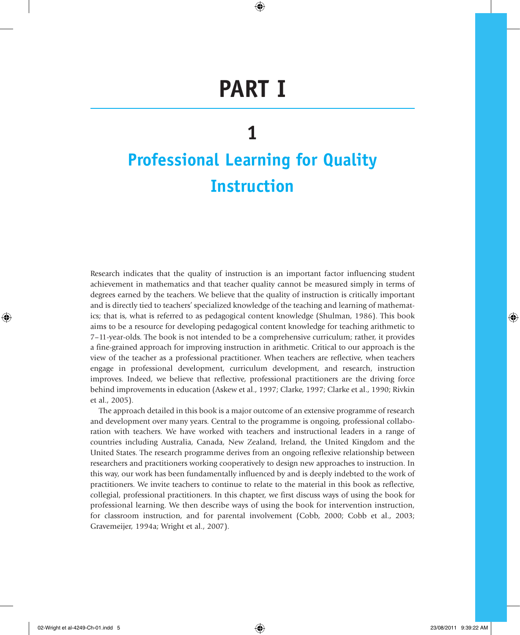# **PART I**

⊕

## **1**

## **Professional Learning for Quality Instruction**

Research indicates that the quality of instruction is an important factor influencing student achievement in mathematics and that teacher quality cannot be measured simply in terms of degrees earned by the teachers. We believe that the quality of instruction is critically important and is directly tied to teachers' specialized knowledge of the teaching and learning of mathematics; that is, what is referred to as pedagogical content knowledge (Shulman, 1986). This book aims to be a resource for developing pedagogical content knowledge for teaching arithmetic to 7–11-year-olds. The book is not intended to be a comprehensive curriculum; rather, it provides a fine-grained approach for improving instruction in arithmetic. Critical to our approach is the view of the teacher as a professional practitioner. When teachers are reflective, when teachers engage in professional development, curriculum development, and research, instruction improves. Indeed, we believe that reflective, professional practitioners are the driving force behind improvements in education (Askew et al., 1997; Clarke, 1997; Clarke et al., 1990; Rivkin et al., 2005).

The approach detailed in this book is a major outcome of an extensive programme of research and development over many years. Central to the programme is ongoing, professional collaboration with teachers. We have worked with teachers and instructional leaders in a range of countries including Australia, Canada, New Zealand, Ireland, the United Kingdom and the United States. The research programme derives from an ongoing reflexive relationship between researchers and practitioners working cooperatively to design new approaches to instruction. In this way, our work has been fundamentally influenced by and is deeply indebted to the work of practitioners. We invite teachers to continue to relate to the material in this book as reflective, collegial, professional practitioners. In this chapter, we first discuss ways of using the book for professional learning. We then describe ways of using the book for intervention instruction, for classroom instruction, and for parental involvement (Cobb, 2000; Cobb et al., 2003; Gravemeijer, 1994a; Wright et al., 2007).

♠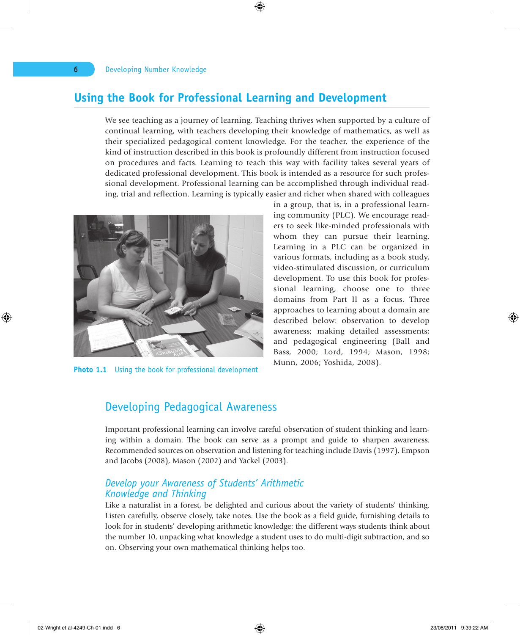#### **Using the Book for Professional Learning and Development**

We see teaching as a journey of learning. Teaching thrives when supported by a culture of continual learning, with teachers developing their knowledge of mathematics, as well as their specialized pedagogical content knowledge. For the teacher, the experience of the kind of instruction described in this book is profoundly different from instruction focused on procedures and facts. Learning to teach this way with facility takes several years of dedicated professional development. This book is intended as a resource for such professional development. Professional learning can be accomplished through individual reading, trial and reflection. Learning is typically easier and richer when shared with colleagues

⊕



**Photo 1.1** Using the book for professional development

in a group, that is, in a professional learning community (PLC). We encourage readers to seek like-minded professionals with whom they can pursue their learning. Learning in a PLC can be organized in various formats, including as a book study, video-stimulated discussion, or curriculum development. To use this book for professional learning, choose one to three domains from Part II as a focus. Three approaches to learning about a domain are described below: observation to develop awareness; making detailed assessments; and pedagogical engineering (Ball and Bass, 2000; Lord, 1994; Mason, 1998; Munn, 2006; Yoshida, 2008).

#### Developing Pedagogical Awareness

Important professional learning can involve careful observation of student thinking and learning within a domain. The book can serve as a prompt and guide to sharpen awareness. Recommended sources on observation and listening for teaching include Davis (1997), Empson and Jacobs (2008), Mason (2002) and Yackel (2003).

#### *Develop your Awareness of Students' Arithmetic Knowledge and Thinking*

Like a naturalist in a forest, be delighted and curious about the variety of students' thinking. Listen carefully, observe closely, take notes. Use the book as a field guide, furnishing details to look for in students' developing arithmetic knowledge: the different ways students think about the number 10, unpacking what knowledge a student uses to do multi-digit subtraction, and so on. Observing your own mathematical thinking helps too.

♠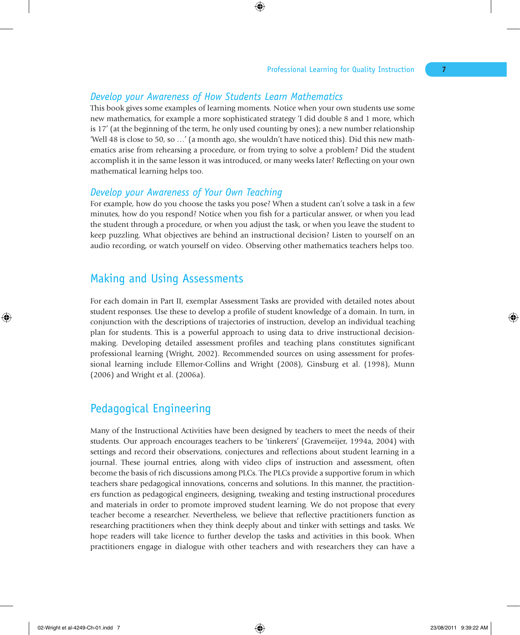Professional Learning for Quality Instruction **7**

#### *Develop your Awareness of How Students Learn Mathematics*

This book gives some examples of learning moments. Notice when your own students use some new mathematics, for example a more sophisticated strategy 'I did double 8 and 1 more, which is 17' (at the beginning of the term, he only used counting by ones); a new number relationship 'Well 48 is close to 50, so …' (a month ago, she wouldn't have noticed this). Did this new mathematics arise from rehearsing a procedure, or from trying to solve a problem? Did the student accomplish it in the same lesson it was introduced, or many weeks later? Reflecting on your own mathematical learning helps too.

⊕

#### *Develop your Awareness of Your Own Teaching*

For example, how do you choose the tasks you pose? When a student can't solve a task in a few minutes, how do you respond? Notice when you fish for a particular answer, or when you lead the student through a procedure, or when you adjust the task, or when you leave the student to keep puzzling. What objectives are behind an instructional decision? Listen to yourself on an audio recording, or watch yourself on video. Observing other mathematics teachers helps too.

#### Making and Using Assessments

For each domain in Part II, exemplar Assessment Tasks are provided with detailed notes about student responses. Use these to develop a profile of student knowledge of a domain. In turn, in conjunction with the descriptions of trajectories of instruction, develop an individual teaching plan for students. This is a powerful approach to using data to drive instructional decisionmaking. Developing detailed assessment profiles and teaching plans constitutes significant professional learning (Wright, 2002). Recommended sources on using assessment for professional learning include Ellemor-Collins and Wright (2008), Ginsburg et al. (1998), Munn (2006) and Wright et al. (2006a).

### Pedagogical Engineering

Many of the Instructional Activities have been designed by teachers to meet the needs of their students. Our approach encourages teachers to be 'tinkerers' (Gravemeijer, 1994a, 2004) with settings and record their observations, conjectures and reflections about student learning in a journal. These journal entries, along with video clips of instruction and assessment, often become the basis of rich discussions among PLCs. The PLCs provide a supportive forum in which teachers share pedagogical innovations, concerns and solutions. In this manner, the practitioners function as pedagogical engineers, designing, tweaking and testing instructional procedures and materials in order to promote improved student learning. We do not propose that every teacher become a researcher. Nevertheless, we believe that reflective practitioners function as researching practitioners when they think deeply about and tinker with settings and tasks. We hope readers will take licence to further develop the tasks and activities in this book. When practitioners engage in dialogue with other teachers and with researchers they can have a

♠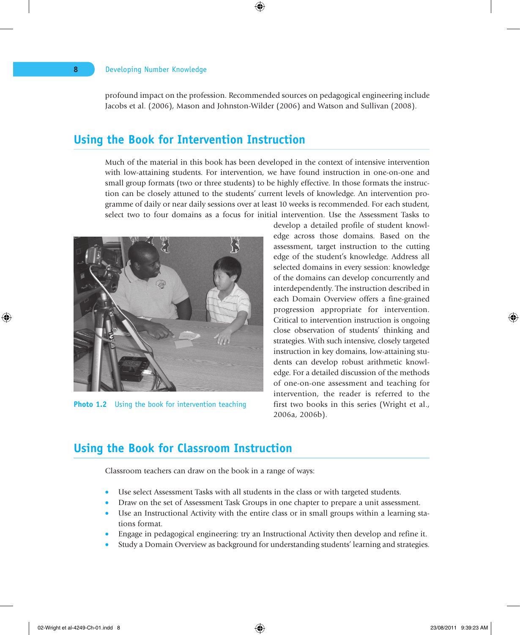#### **8** Developing Number Knowledge

profound impact on the profession. Recommended sources on pedagogical engineering include Jacobs et al. (2006), Mason and Johnston-Wilder (2006) and Watson and Sullivan (2008).

#### **Using the Book for Intervention Instruction**

Much of the material in this book has been developed in the context of intensive intervention with low-attaining students. For intervention, we have found instruction in one-on-one and small group formats (two or three students) to be highly effective. In those formats the instruction can be closely attuned to the students' current levels of knowledge. An intervention programme of daily or near daily sessions over at least 10 weeks is recommended. For each student, select two to four domains as a focus for initial intervention. Use the Assessment Tasks to



**Photo 1.2** Using the book for intervention teaching

develop a detailed profile of student knowledge across those domains. Based on the assessment, target instruction to the cutting edge of the student's knowledge. Address all selected domains in every session: knowledge of the domains can develop concurrently and interdependently. The instruction described in each Domain Overview offers a fine-grained progression appropriate for intervention. Critical to intervention instruction is ongoing close observation of students' thinking and strategies. With such intensive, closely targeted instruction in key domains, low-attaining students can develop robust arithmetic knowledge. For a detailed discussion of the methods of one-on-one assessment and teaching for intervention, the reader is referred to the first two books in this series (Wright et al., 2006a, 2006b).

### **Using the Book for Classroom Instruction**

Classroom teachers can draw on the book in a range of ways:

- Use select Assessment Tasks with all students in the class or with targeted students.
- Draw on the set of Assessment Task Groups in one chapter to prepare a unit assessment.
- Use an Instructional Activity with the entire class or in small groups within a learning stations format.
- Engage in pedagogical engineering: try an Instructional Activity then develop and refine it.
- Study a Domain Overview as background for understanding students' learning and strategies.

♠